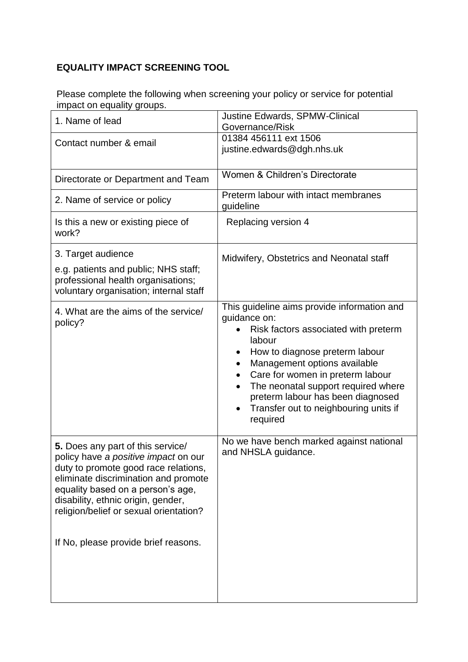## **EQUALITY IMPACT SCREENING TOOL**

Please complete the following when screening your policy or service for potential impact on equality groups.

| 1. Name of lead                                                                                                                                                                                                                                                                                                        | <b>Justine Edwards, SPMW-Clinical</b><br>Governance/Risk                                                                                                                                                                                                                                                                                                                            |
|------------------------------------------------------------------------------------------------------------------------------------------------------------------------------------------------------------------------------------------------------------------------------------------------------------------------|-------------------------------------------------------------------------------------------------------------------------------------------------------------------------------------------------------------------------------------------------------------------------------------------------------------------------------------------------------------------------------------|
| Contact number & email                                                                                                                                                                                                                                                                                                 | 01384 456111 ext 1506<br>justine.edwards@dgh.nhs.uk                                                                                                                                                                                                                                                                                                                                 |
| Directorate or Department and Team                                                                                                                                                                                                                                                                                     | Women & Children's Directorate                                                                                                                                                                                                                                                                                                                                                      |
| 2. Name of service or policy                                                                                                                                                                                                                                                                                           | Preterm labour with intact membranes<br>guideline                                                                                                                                                                                                                                                                                                                                   |
| Is this a new or existing piece of<br>work?                                                                                                                                                                                                                                                                            | Replacing version 4                                                                                                                                                                                                                                                                                                                                                                 |
| 3. Target audience<br>e.g. patients and public; NHS staff;<br>professional health organisations;<br>voluntary organisation; internal staff                                                                                                                                                                             | Midwifery, Obstetrics and Neonatal staff                                                                                                                                                                                                                                                                                                                                            |
| 4. What are the aims of the service/<br>policy?                                                                                                                                                                                                                                                                        | This guideline aims provide information and<br>guidance on:<br>Risk factors associated with preterm<br>labour<br>How to diagnose preterm labour<br>Management options available<br>Care for women in preterm labour<br>٠<br>The neonatal support required where<br>$\bullet$<br>preterm labour has been diagnosed<br>Transfer out to neighbouring units if<br>$\bullet$<br>required |
| 5. Does any part of this service/<br>policy have a positive impact on our<br>duty to promote good race relations,<br>eliminate discrimination and promote<br>equality based on a person's age,<br>disability, ethnic origin, gender,<br>religion/belief or sexual orientation?<br>If No, please provide brief reasons. | No we have bench marked against national<br>and NHSLA guidance.                                                                                                                                                                                                                                                                                                                     |
|                                                                                                                                                                                                                                                                                                                        |                                                                                                                                                                                                                                                                                                                                                                                     |